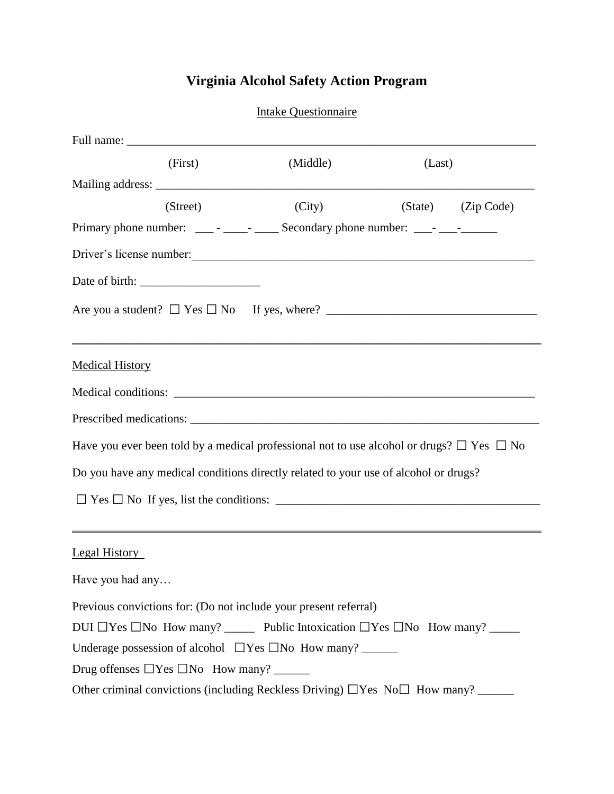## **Virginia Alcohol Safety Action Program**

|                                                                                                             |  | <b>Intake Questionnaire</b> |        |                    |  |
|-------------------------------------------------------------------------------------------------------------|--|-----------------------------|--------|--------------------|--|
|                                                                                                             |  |                             |        |                    |  |
| (First)                                                                                                     |  | (Middle)                    | (Last) |                    |  |
|                                                                                                             |  |                             |        |                    |  |
| (Street)                                                                                                    |  | (City)                      |        | (State) (Zip Code) |  |
|                                                                                                             |  |                             |        |                    |  |
| Driver's license number:                                                                                    |  |                             |        |                    |  |
|                                                                                                             |  |                             |        |                    |  |
|                                                                                                             |  |                             |        |                    |  |
| <b>Medical History</b>                                                                                      |  |                             |        |                    |  |
|                                                                                                             |  |                             |        |                    |  |
|                                                                                                             |  |                             |        |                    |  |
| Have you ever been told by a medical professional not to use alcohol or drugs? $\Box$ Yes $\Box$ No         |  |                             |        |                    |  |
| Do you have any medical conditions directly related to your use of alcohol or drugs?                        |  |                             |        |                    |  |
|                                                                                                             |  |                             |        |                    |  |
|                                                                                                             |  |                             |        |                    |  |
| Legal History                                                                                               |  |                             |        |                    |  |
| Have you had any                                                                                            |  |                             |        |                    |  |
| Previous convictions for: (Do not include your present referral)                                            |  |                             |        |                    |  |
| DUI $\Box$ Yes $\Box$ No How many? ________ Public Intoxication $\Box$ Yes $\Box$ No How many? ____________ |  |                             |        |                    |  |
|                                                                                                             |  |                             |        |                    |  |
|                                                                                                             |  |                             |        |                    |  |
| Other criminal convictions (including Reckless Driving) $\Box$ Yes No $\Box$ How many? ______               |  |                             |        |                    |  |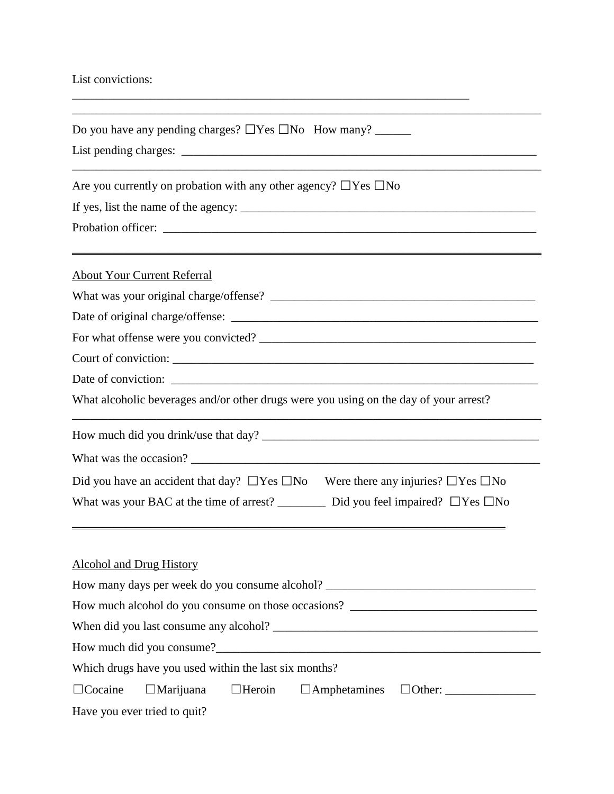## List convictions:

| Do you have any pending charges? $\Box$ Yes $\Box$ No How many? _______                                                                                    |
|------------------------------------------------------------------------------------------------------------------------------------------------------------|
| Are you currently on probation with any other agency? $\Box$ Yes $\Box$ No                                                                                 |
|                                                                                                                                                            |
|                                                                                                                                                            |
| <u> 1989 - Jan James James James James James James James James James James James James James James James James J</u><br><b>About Your Current Referral</b> |
|                                                                                                                                                            |
|                                                                                                                                                            |
|                                                                                                                                                            |
|                                                                                                                                                            |
|                                                                                                                                                            |
| What alcoholic beverages and/or other drugs were you using on the day of your arrest?                                                                      |
|                                                                                                                                                            |
|                                                                                                                                                            |
| Did you have an accident that day? $\Box$ Yes $\Box$ No Were there any injuries? $\Box$ Yes $\Box$ No                                                      |
| What was your BAC at the time of arrest? ___________ Did you feel impaired? $\Box$ Yes $\Box$ No                                                           |
|                                                                                                                                                            |
| <b>Alcohol and Drug History</b>                                                                                                                            |
|                                                                                                                                                            |
| How much alcohol do you consume on those occasions? _____________________________                                                                          |
|                                                                                                                                                            |
|                                                                                                                                                            |
| Which drugs have you used within the last six months?                                                                                                      |
| $\Box$ Cocaine<br>$\Box$ Marijuana<br>$\Box$ Heroin<br>$\Box$ Amphetamines                                                                                 |
| Have you ever tried to quit?                                                                                                                               |